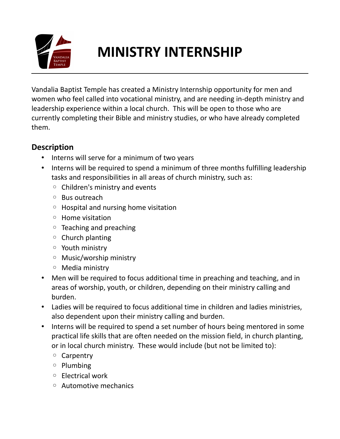

## **MINISTRY INTERNSHIP**

Vandalia Baptist Temple has created a Ministry Internship opportunity for men and women who feel called into vocational ministry, and are needing in-depth ministry and leadership experience within a local church. This will be open to those who are currently completing their Bible and ministry studies, or who have already completed them.

## **Description**

- Interns will serve for a minimum of two years
- Interns will be required to spend a minimum of three months fulfilling leadership tasks and responsibilities in all areas of church ministry, such as:
	- Children's ministry and events
	- Bus outreach
	- Hospital and nursing home visitation
	- Home visitation
	- Teaching and preaching
	- Church planting
	- Youth ministry
	- Music/worship ministry
	- Media ministry
- Men will be required to focus additional time in preaching and teaching, and in areas of worship, youth, or children, depending on their ministry calling and burden.
- Ladies will be required to focus additional time in children and ladies ministries, also dependent upon their ministry calling and burden.
- Interns will be required to spend a set number of hours being mentored in some practical life skills that are often needed on the mission field, in church planting, or in local church ministry. These would include (but not be limited to):
	- Carpentry
	- Plumbing
	- Electrical work
	- Automotive mechanics